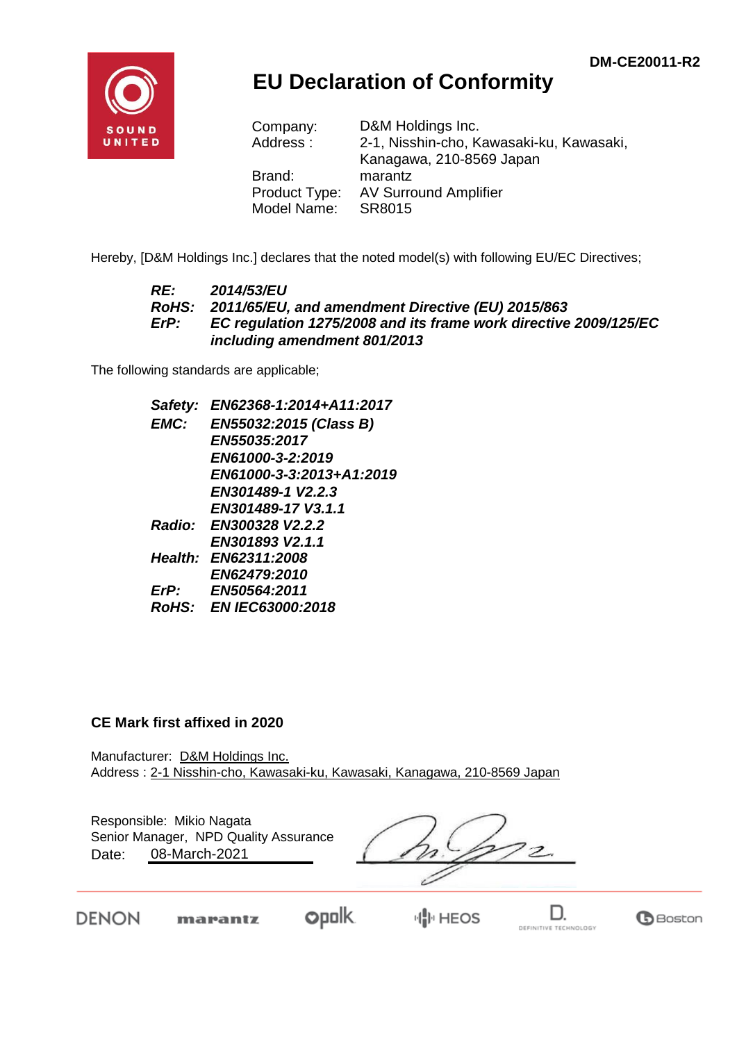**B**Boston



## **EU Declaration of Conformity**

| Company:      | D&M Holdings Inc.                        |
|---------------|------------------------------------------|
| Address:      | 2-1, Nisshin-cho, Kawasaki-ku, Kawasaki, |
|               | Kanagawa, 210-8569 Japan                 |
| Brand:        | marantz                                  |
| Product Type: | <b>AV Surround Amplifier</b>             |
| Model Name:   | SR8015                                   |

Hereby, [D&M Holdings Inc.] declares that the noted model(s) with following EU/EC Directives;

#### *RE: 2014/53/EU RoHS: 2011/65/EU, and amendment Directive (EU) 2015/863 ErP: EC regulation 1275/2008 and its frame work directive 2009/125/EC including amendment 801/2013*

The following standards are applicable;

*Safety: EN62368-1:2014+A11:2017 EMC: EN55032:2015 (Class B) EN55035:2017 EN61000-3-2:2019 EN61000-3-3:2013+A1:2019 EN301489-1 V2.2.3 EN301489-17 V3.1.1 Radio: EN300328 V2.2.2 EN301893 V2.1.1 Health: EN62311:2008 EN62479:2010 ErP: EN50564:2011 RoHS: EN IEC63000:2018*

#### **CE Mark first affixed in 2020**

DENON

Manufacturer: D&M Holdings Inc. Address : 2-1 Nisshin-cho, Kawasaki-ku, Kawasaki, Kanagawa, 210-8569 Japan

| Date: | Responsible: Mikio Nagata<br>Senior Manager, NPD Quality Assurance<br>08-March-2021 |  |             |  |
|-------|-------------------------------------------------------------------------------------|--|-------------|--|
|       | marantz                                                                             |  | <b>HEOS</b> |  |

DEFINITIVE TECHNOLOGY